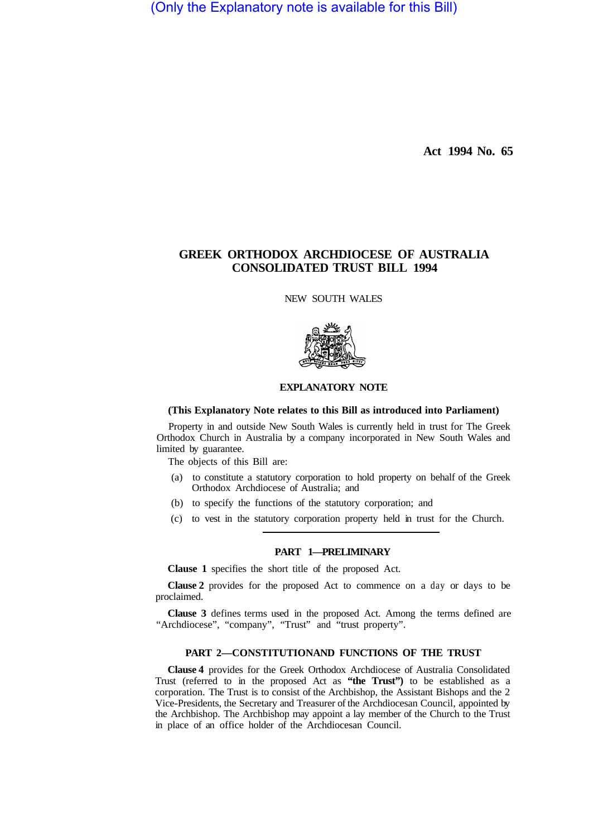(Only the Explanatory note is available for this Bill)

**Act 1994 No. 65** 

# **GREEK ORTHODOX ARCHDIOCESE OF AUSTRALIA CONSOLIDATED TRUST BILL 1994**

NEW SOUTH WALES



## **EXPLANATORY NOTE**

## **(This Explanatory Note relates to this Bill as introduced into Parliament)**

Property in and outside New South Wales is currently held in trust for The Greek Orthodox Church in Australia by a company incorporated in New South Wales and limited by guarantee.

The objects of this Bill are:

- (a) to constitute a statutory corporation to hold property on behalf of the Greek Orthodox Archdiocese of Australia; and
- (b) to specify the functions of the statutory corporation; and
- (c) to vest in the statutory corporation property held in trust for the Church.

# **PART 1—PRELIMINARY**

**Clause 1** specifies the short title of the proposed Act.

**Clause 2** provides for the proposed Act to commence on a day or days to be proclaimed.

**Clause 3** defines terms used in the proposed Act. Among the terms defined are "Archdiocese", "company", "Trust" and "trust property".

#### **PART 2-CONSTITUTIONAND FUNCTIONS OF THE TRUST**

**Clause 4** provides for the Greek Orthodox Archdiocese of Australia Consolidated Trust (referred to in the proposed Act as **"the Trust")** to be established as a corporation. The Trust is to consist of the Archbishop, the Assistant Bishops and the 2 Vice-Presidents, the Secretary and Treasurer of the Archdiocesan Council, appointed by the Archbishop. The Archbishop may appoint a lay member of the Church to the Trust in place of an office holder of the Archdiocesan Council.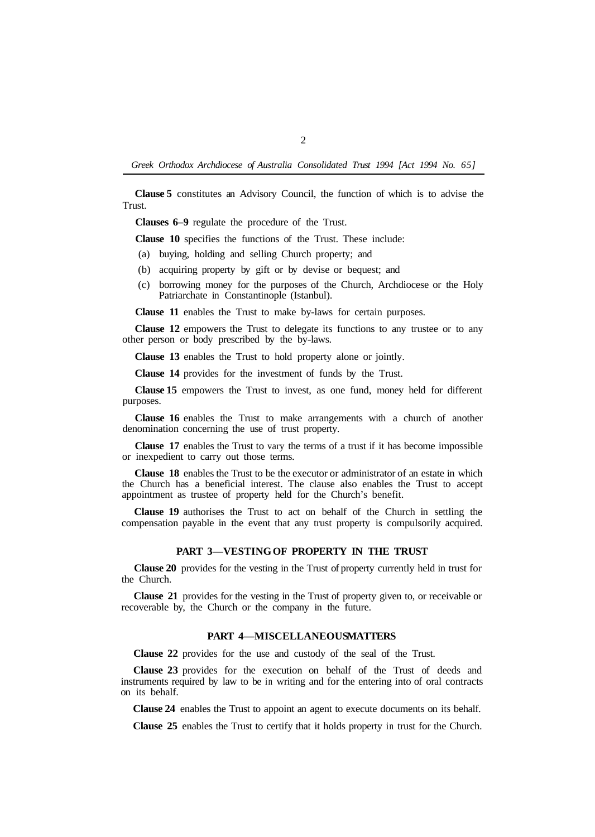*Greek Orthodox Archdiocese of Australia Consolidated Trust 1994 [Act 1994 No. 65]* 

**Clause 5** constitutes an Advisory Council, the function of which is to advise the Trust.

**Clauses 6–9** regulate the procedure of the Trust.

**Clause 10** specifies the functions of the Trust. These include:

(a) buying, holding and selling Church property; and

- (b) acquiring property by gift or by devise or bequest; and
- (c) borrowing money for the purposes of the Church, Archdiocese or the Holy Patriarchate in Constantinople (Istanbul).

**Clause 11** enables the Trust to make by-laws for certain purposes.

**Clause 12** empowers the Trust to delegate its functions to any trustee or to any other person or body prescribed by the by-laws.

**Clause 13** enables the Trust to hold property alone or jointly.

**Clause 14** provides for the investment of funds by the Trust.

**Clause 15** empowers the Trust to invest, as one fund, money held for different purposes.

**Clause 16** enables the Trust to make arrangements with a church of another denomination concerning the use of trust property.

**Clause 17** enables the Trust to vary the terms of a trust if it has become impossible or inexpedient to carry out those terms.

**Clause 18** enables the Trust to be the executor or administrator of an estate in which the Church has a beneficial interest. The clause also enables the Trust to accept appointment as trustee of property held for the Church's benefit.

**Clause 19** authorises the Trust to act on behalf of the Church in settling the compensation payable in the event that any trust property is compulsorily acquired.

#### **PART 3—VESTING OF PROPERTY IN THE TRUST**

**Clause 20** provides for the vesting in the Trust of property currently held in trust for the Church.

**Clause 21** provides for the vesting in the Trust of property given to, or receivable or recoverable by, the Church or the company in the future.

#### **PART 4-MISCELLANEOUSMATTERS**

**Clause 22** provides for the use and custody of the seal of the Trust.

**Clause 23** provides for the execution on behalf of the Trust of deeds and instruments required by law to be in writing and for the entering into of oral contracts on its behalf.

**Clause 24** enables the Trust to appoint an agent to execute documents on its behalf.

**Clause 25** enables the Trust to certify that it holds property in trust for the Church.